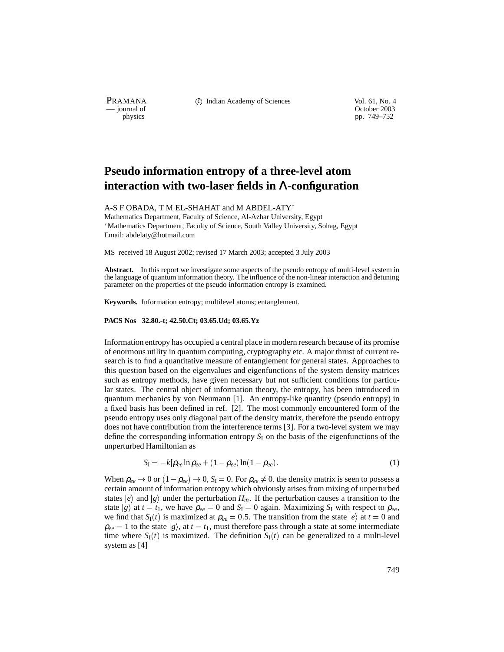PRAMANA <sup>comp</sup> computed contained in the Indian Academy of Sciences Vol. 61, No. 4<br>
computed vol. 61, No. 4<br>
computed vol. 61, No. 4

physics<br>
physics<br>
pp. 749–752 pp. 749–752

## **Pseudo information entropy of a three-level atom interaction with two-laser fields in** Λ**-configuration**

A-S F OBADA, T M EL-SHAHAT and M ABDEL-ATY

Mathematics Department, Faculty of Science, Al-Azhar University, Egypt Mathematics Department, Faculty of Science, South Valley University, Sohag, Egypt Email: abdelaty@hotmail.com

MS received 18 August 2002; revised 17 March 2003; accepted 3 July 2003

Abstract. In this report we investigate some aspects of the pseudo entropy of multi-level system in the language of quantum information theory. The influence of the non-linear interaction and detuning parameter on the properties of the pseudo information entropy is examined.

**Keywords.** Information entropy; multilevel atoms; entanglement.

## **PACS Nos 32.80.-t; 42.50.Ct; 03.65.Ud; 03.65.Yz**

Information entropy has occupied a central place in modern research because of its promise of enormous utility in quantum computing, cryptography etc. A major thrust of current research is to find a quantitative measure of entanglement for general states. Approaches to this question based on the eigenvalues and eigenfunctions of the system density matrices such as entropy methods, have given necessary but not sufficient conditions for particular states. The central object of information theory, the entropy, has been introduced in quantum mechanics by von Neumann [1]. An entropy-like quantity (pseudo entropy) in a fixed basis has been defined in ref. [2]. The most commonly encountered form of the pseudo entropy uses only diagonal part of the density matrix, therefore the pseudo entropy does not have contribution from the interference terms [3]. For a two-level system we may define the corresponding information entropy  $S_I$  on the basis of the eigenfunctions of the unperturbed Hamiltonian as

$$
S_{I} = -k[\rho_{ee} \ln \rho_{ee} + (1 - \rho_{ee}) \ln (1 - \rho_{ee}). \tag{1}
$$

When  $\rho_{ee} \to 0$  or  $(1-\rho_{ee}) \to 0$ ,  $S_I = 0$ . For  $\rho_{ee} \neq 0$ , the density matrix is seen to possess a certain amount of information entropy which obviously arises from mixing of unperturbed states  $|e\rangle$  and  $|g\rangle$  under the perturbation  $H_{in}$ . If the perturbation causes a transition to the state *g*) at  $t = t_1$ , we have  $\rho_{ee} = 0$  and  $S_I = 0$  again. Maximizing  $S_I$  with respect to  $\rho_{ee}$ , we find that *S*<sub>I</sub>(*t*) is maximized at  $\rho_{ee} = 0.5$ . The transition from the state  $|e\rangle$  at *t* = 0 and  $\rho_{ee} = 1$  to the state  $|g\rangle$ , at  $t = t_1$ , must therefore pass through a state at some intermediate time where  $S_I(t)$  is maximized. The definition  $S_I(t)$  can be generalized to a multi-level system as [4]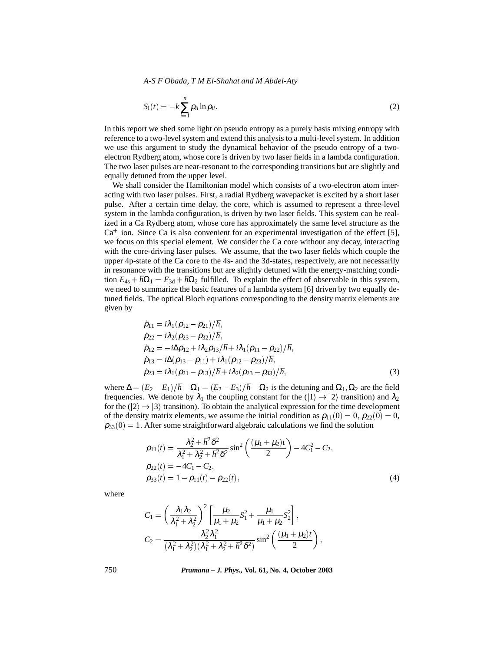*A-S F Obada, T M El-Shahat and M Abdel-Aty*

$$
S_{\rm I}(t) = -k \sum_{i=1}^{n} \rho_{ii} \ln \rho_{ii}.
$$
 (2)

In this report we shed some light on pseudo entropy as a purely basis mixing entropy with reference to a two-level system and extend this analysis to a multi-level system. In addition we use this argument to study the dynamical behavior of the pseudo entropy of a twoelectron Rydberg atom, whose core is driven by two laser fields in a lambda configuration. The two laser pulses are near-resonant to the corresponding transitions but are slightly and equally detuned from the upper level.

We shall consider the Hamiltonian model which consists of a two-electron atom interacting with two laser pulses. First, a radial Rydberg wavepacket is excited by a short laser pulse. After a certain time delay, the core, which is assumed to represent a three-level system in the lambda configuration, is driven by two laser fields. This system can be realized in a Ca Rydberg atom, whose core has approximately the same level structure as the  $Ca<sup>+</sup>$  ion. Since Ca is also convenient for an experimental investigation of the effect [5], we focus on this special element. We consider the Ca core without any decay, interacting with the core-driving laser pulses. We assume, that the two laser fields which couple the upper 4p-state of the Ca core to the 4s- and the 3d-states, respectively, are not necessarily in resonance with the transitions but are slightly detuned with the energy-matching condition  $E_{4s} + \hbar\Omega_1 = E_{3d} + \hbar\Omega_2$  fulfilled. To explain the effect of observable in this system, we need to summarize the basic features of a lambda system [6] driven by two equally detuned fields. The optical Bloch equations corresponding to the density matrix elements are given by

$$
\dot{\rho}_{11} = i\lambda_1(\rho_{12} - \rho_{21})/\hbar,
$$
\n
$$
\dot{\rho}_{22} = i\lambda_2(\rho_{23} - \rho_{32})/\hbar,
$$
\n
$$
\dot{\rho}_{12} = -i\Delta\rho_{12} + i\lambda_2\rho_{13}/\hbar + i\lambda_1(\rho_{11} - \rho_{22})/\hbar,
$$
\n
$$
\dot{\rho}_{13} = i\Delta(\rho_{13} - \rho_{11}) + i\lambda_1(\rho_{12} - \rho_{23})/\hbar,
$$
\n
$$
\dot{\rho}_{23} = i\lambda_1(\rho_{21} - \rho_{13})/\hbar + i\lambda_2(\rho_{23} - \rho_{33})/\hbar,
$$
\n(3)

where  $\Delta = (E_2 - E_1)/\hbar - \Omega_1 = (E_2 - E_3)/\hbar - \Omega_2$  is the detuning and  $\Omega_1, \Omega_2$  are the field frequencies. We denote by  $\lambda_1$  the coupling constant for the  $(|1\rangle \rightarrow |2\rangle$  transition) and  $\lambda_2$ for the  $(|2\rangle \rightarrow |3\rangle$  transition). To obtain the analytical expression for the time development of the density matrix elements, we assume the initial condition as  $\rho_{11}(0) = 0$ ,  $\rho_{22}(0) = 0$ ,  $\rho_{33}(0) = 1$ . After some straightforward algebraic calculations we find the solution

$$
\rho_{11}(t) = \frac{\lambda_2^2 + \hbar^2 \delta^2}{\lambda_1^2 + \lambda_2^2 + \hbar^2 \delta^2} \sin^2 \left( \frac{(\mu_1 + \mu_2)t}{2} \right) - 4C_1^2 - C_2,
$$
  
\n
$$
\rho_{22}(t) = -4C_1 - C_2,
$$
  
\n
$$
\rho_{33}(t) = 1 - \rho_{11}(t) - \rho_{22}(t),
$$
\n(4)

where

$$
C_1 = \left(\frac{\lambda_1 \lambda_2}{\lambda_1^2 + \lambda_2^2}\right)^2 \left[\frac{\mu_2}{\mu_1 + \mu_2} S_1^2 + \frac{\mu_1}{\mu_1 + \mu_2} S_2^2\right],
$$
  
\n
$$
C_2 = \frac{\lambda_2^2 \lambda_1^2}{(\lambda_1^2 + \lambda_2^2)(\lambda_1^2 + \lambda_2^2 + \hbar^2 \delta^2)} \sin^2\left(\frac{(\mu_1 + \mu_2)t}{2}\right),
$$

750 *Pramana – J. Phys.,* **Vol. 61, No. 4, October 2003**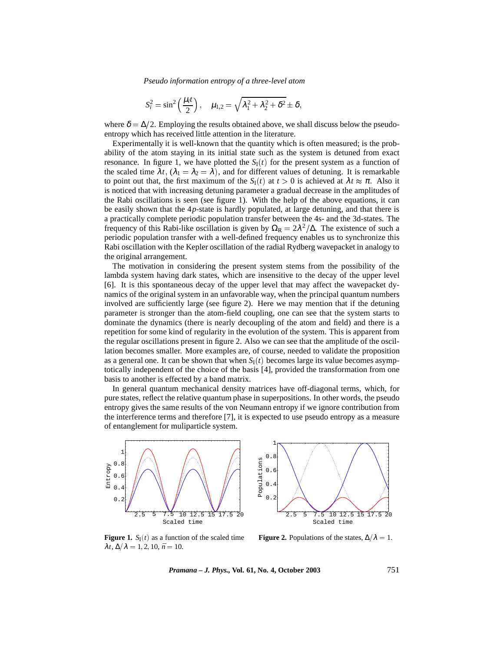*Pseudo information entropy of a three-level atom*

$$
S_i^2 = \sin^2\left(\frac{\mu_i t}{2}\right), \quad \mu_{1,2} = \sqrt{\lambda_1^2 + \lambda_2^2 + \delta^2} \pm \delta,
$$

where  $\delta = \Delta/2$ . Employing the results obtained above, we shall discuss below the pseudoentropy which has received little attention in the literature.

Experimentally it is well-known that the quantity which is often measured; is the probability of the atom staying in its initial state such as the system is detuned from exact resonance. In figure 1, we have plotted the  $S<sub>I</sub>(t)$  for the present system as a function of the scaled time  $\lambda t$ ,  $(\lambda_1 = \lambda_2 = \lambda)$ , and for different values of detuning. It is remarkable to point out that, the first maximum of the  $S_I(t)$  at  $t > 0$  is achieved at  $\lambda t \approx \pi$ . Also it is noticed that with increasing detuning parameter a gradual decrease in the amplitudes of the Rabi oscillations is seen (see figure 1). With the help of the above equations, it can be easily shown that the 4*p*-state is hardly populated, at large detuning, and that there is a practically complete periodic population transfer between the 4s- and the 3d-states. The frequency of this Rabi-like oscillation is given by  $\Omega_R = 2\lambda^2/\Delta$ . The existence of such a periodic population transfer with a well-defined frequency enables us to synchronize this Rabi oscillation with the Kepler oscillation of the radial Rydberg wavepacket in analogy to the original arrangement.

The motivation in considering the present system stems from the possibility of the lambda system having dark states, which are insensitive to the decay of the upper level [6]. It is this spontaneous decay of the upper level that may affect the wavepacket dynamics of the original system in an unfavorable way, when the principal quantum numbers involved are sufficiently large (see figure 2). Here we may mention that if the detuning parameter is stronger than the atom-field coupling, one can see that the system starts to dominate the dynamics (there is nearly decoupling of the atom and field) and there is a repetition for some kind of regularity in the evolution of the system. This is apparent from the regular oscillations present in figure 2. Also we can see that the amplitude of the oscillation becomes smaller. More examples are, of course, needed to validate the proposition as a general one. It can be shown that when  $S_I(t)$  becomes large its value becomes asymptotically independent of the choice of the basis [4], provided the transformation from one basis to another is effected by a band matrix.

In general quantum mechanical density matrices have off-diagonal terms, which, for pure states, reflect the relative quantum phase in superpositions. In other words, the pseudo entropy gives the same results of the von Neumann entropy if we ignore contribution from the interference terms and therefore [7], it is expected to use pseudo entropy as a measure of entanglement for muliparticle system.



2.5 5 7.5 10 12.5 15 17.5 Scaled time

**Figure 1.**  $S_I(t)$  as a function of the scaled time  $\lambda t$ ,  $\Delta/\lambda = 1, 2, 10, \bar{n} = 10$ .

**Figure 2.** Populations of the states,  $\Delta/\lambda = 1$ .

*Pramana – J. Phys.,* **Vol. 61, No. 4, October 2003** 751